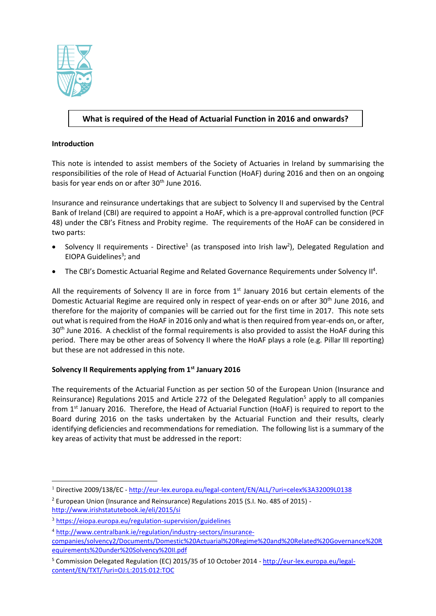

# **What is required of the Head of Actuarial Function in 2016 and onwards?**

## **Introduction**

 $\overline{a}$ 

This note is intended to assist members of the Society of Actuaries in Ireland by summarising the responsibilities of the role of Head of Actuarial Function (HoAF) during 2016 and then on an ongoing basis for year ends on or after 30<sup>th</sup> June 2016.

Insurance and reinsurance undertakings that are subject to Solvency II and supervised by the Central Bank of Ireland (CBI) are required to appoint a HoAF, which is a pre-approval controlled function (PCF 48) under the CBI's Fitness and Probity regime. The requirements of the HoAF can be considered in two parts:

- Solvency II requirements Directive<sup>1</sup> (as transposed into Irish law<sup>2</sup>), Delegated Regulation and EIOPA Guidelines<sup>3</sup>; and
- The CBI's Domestic Actuarial Regime and Related Governance Requirements under Solvency II<sup>4</sup>.

All the requirements of Solvency II are in force from  $1<sup>st</sup>$  January 2016 but certain elements of the Domestic Actuarial Regime are required only in respect of year-ends on or after 30<sup>th</sup> June 2016, and therefore for the majority of companies will be carried out for the first time in 2017. This note sets out what is required from the HoAF in 2016 only and what is then required from year-ends on, or after, 30<sup>th</sup> June 2016. A checklist of the formal requirements is also provided to assist the HoAF during this period. There may be other areas of Solvency II where the HoAF plays a role (e.g. Pillar III reporting) but these are not addressed in this note.

# **Solvency II Requirements applying from 1st January 2016**

The requirements of the Actuarial Function as per section 50 of the European Union (Insurance and Reinsurance) Regulations 2015 and Article 272 of the Delegated Regulation<sup>5</sup> apply to all companies from 1<sup>st</sup> January 2016. Therefore, the Head of Actuarial Function (HoAF) is required to report to the Board during 2016 on the tasks undertaken by the Actuarial Function and their results, clearly identifying deficiencies and recommendations for remediation. The following list is a summary of the key areas of activity that must be addressed in the report:

<sup>&</sup>lt;sup>1</sup> Directive 2009/138/EC - <http://eur-lex.europa.eu/legal-content/EN/ALL/?uri=celex%3A32009L0138>

<sup>2</sup> European Union (Insurance and Reinsurance) Regulations 2015 (S.I. No. 485 of 2015) <http://www.irishstatutebook.ie/eli/2015/si>

<sup>3</sup> <https://eiopa.europa.eu/regulation-supervision/guidelines>

<sup>4</sup> [http://www.centralbank.ie/regulation/industry-sectors/insurance-](http://www.centralbank.ie/regulation/industry-sectors/insurance-companies/solvency2/Documents/Domestic%20Actuarial%20Regime%20and%20Related%20Governance%20Requirements%20under%20Solvency%20II.pdf)

[companies/solvency2/Documents/Domestic%20Actuarial%20Regime%20and%20Related%20Governance%20R](http://www.centralbank.ie/regulation/industry-sectors/insurance-companies/solvency2/Documents/Domestic%20Actuarial%20Regime%20and%20Related%20Governance%20Requirements%20under%20Solvency%20II.pdf) [equirements%20under%20Solvency%20II.pdf](http://www.centralbank.ie/regulation/industry-sectors/insurance-companies/solvency2/Documents/Domestic%20Actuarial%20Regime%20and%20Related%20Governance%20Requirements%20under%20Solvency%20II.pdf)

<sup>&</sup>lt;sup>5</sup> Commission Delegated Regulation (EC) 2015/35 of 10 October 2014 - [http://eur-lex.europa.eu/legal](http://eur-lex.europa.eu/legal-content/EN/TXT/?uri=OJ:L:2015:012:TOC)[content/EN/TXT/?uri=OJ:L:2015:012:TOC](http://eur-lex.europa.eu/legal-content/EN/TXT/?uri=OJ:L:2015:012:TOC)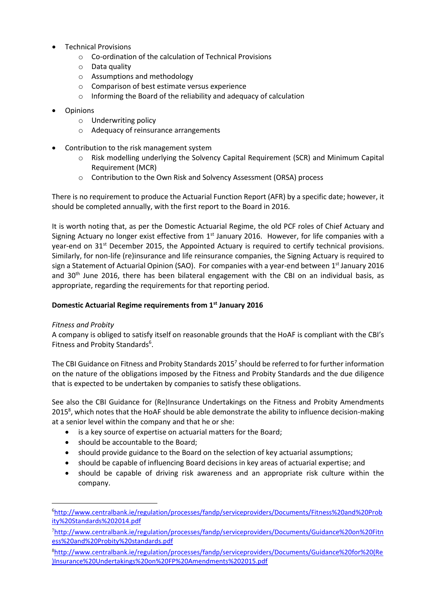- Technical Provisions
	- o Co-ordination of the calculation of Technical Provisions
	- o Data quality
	- o Assumptions and methodology
	- o Comparison of best estimate versus experience
	- o Informing the Board of the reliability and adequacy of calculation
- Opinions
	- o Underwriting policy
	- o Adequacy of reinsurance arrangements
- Contribution to the risk management system
	- o Risk modelling underlying the Solvency Capital Requirement (SCR) and Minimum Capital Requirement (MCR)
	- o Contribution to the Own Risk and Solvency Assessment (ORSA) process

There is no requirement to produce the Actuarial Function Report (AFR) by a specific date; however, it should be completed annually, with the first report to the Board in 2016.

It is worth noting that, as per the Domestic Actuarial Regime, the old PCF roles of Chief Actuary and Signing Actuary no longer exist effective from  $1<sup>st</sup>$  January 2016. However, for life companies with a year-end on 31<sup>st</sup> December 2015, the Appointed Actuary is required to certify technical provisions. Similarly, for non-life (re)insurance and life reinsurance companies, the Signing Actuary is required to sign a Statement of Actuarial Opinion (SAO). For companies with a year-end between 1<sup>st</sup> January 2016 and 30<sup>th</sup> June 2016, there has been bilateral engagement with the CBI on an individual basis, as appropriate, regarding the requirements for that reporting period.

#### **Domestic Actuarial Regime requirements from 1st January 2016**

#### *Fitness and Probity*

 $\overline{a}$ 

A company is obliged to satisfy itself on reasonable grounds that the HoAF is compliant with the CBI's Fitness and Probity Standards<sup>6</sup>.

The CBI Guidance on Fitness and Probity Standards 2015<sup>7</sup> should be referred to for further information on the nature of the obligations imposed by the Fitness and Probity Standards and the due diligence that is expected to be undertaken by companies to satisfy these obligations.

See also the CBI Guidance for (Re)Insurance Undertakings on the Fitness and Probity Amendments 2015<sup>8</sup>, which notes that the HoAF should be able demonstrate the ability to influence decision-making at a senior level within the company and that he or she:

- is a key source of expertise on actuarial matters for the Board;
- should be accountable to the Board;
- should provide guidance to the Board on the selection of key actuarial assumptions;
- should be capable of influencing Board decisions in key areas of actuarial expertise; and
- should be capable of driving risk awareness and an appropriate risk culture within the company.

<sup>6</sup>[http://www.centralbank.ie/regulation/processes/fandp/serviceproviders/Documents/Fitness%20and%20Prob](http://www.centralbank.ie/regulation/processes/fandp/serviceproviders/Documents/Fitness%20and%20Probity%20Standards%202014.pdf) [ity%20Standards%202014.pdf](http://www.centralbank.ie/regulation/processes/fandp/serviceproviders/Documents/Fitness%20and%20Probity%20Standards%202014.pdf)

<sup>7</sup>[http://www.centralbank.ie/regulation/processes/fandp/serviceproviders/Documents/Guidance%20on%20Fitn](http://www.centralbank.ie/regulation/processes/fandp/serviceproviders/Documents/Guidance%20on%20Fitness%20and%20Probity%20standards.pdf) [ess%20and%20Probity%20standards.pdf](http://www.centralbank.ie/regulation/processes/fandp/serviceproviders/Documents/Guidance%20on%20Fitness%20and%20Probity%20standards.pdf)

<sup>8</sup>[http://www.centralbank.ie/regulation/processes/fandp/serviceproviders/Documents/Guidance%20for%20\(Re](http://www.centralbank.ie/regulation/processes/fandp/serviceproviders/Documents/Guidance%20for%20(Re)Insurance%20Undertakings%20on%20FP%20Amendments%202015.pdf) [\)Insurance%20Undertakings%20on%20FP%20Amendments%202015.pdf](http://www.centralbank.ie/regulation/processes/fandp/serviceproviders/Documents/Guidance%20for%20(Re)Insurance%20Undertakings%20on%20FP%20Amendments%202015.pdf)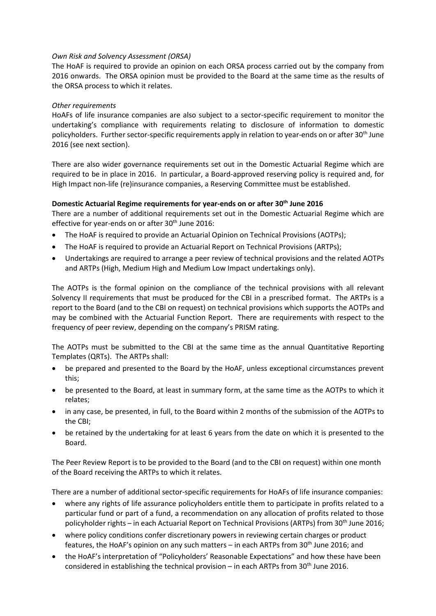#### *Own Risk and Solvency Assessment (ORSA)*

The HoAF is required to provide an opinion on each ORSA process carried out by the company from 2016 onwards. The ORSA opinion must be provided to the Board at the same time as the results of the ORSA process to which it relates.

## *Other requirements*

HoAFs of life insurance companies are also subject to a sector-specific requirement to monitor the undertaking's compliance with requirements relating to disclosure of information to domestic policyholders. Further sector-specific requirements apply in relation to year-ends on or after 30th June 2016 (see next section).

There are also wider governance requirements set out in the Domestic Actuarial Regime which are required to be in place in 2016. In particular, a Board-approved reserving policy is required and, for High Impact non-life (re)insurance companies, a Reserving Committee must be established.

## **Domestic Actuarial Regime requirements for year-ends on or after 30th June 2016**

There are a number of additional requirements set out in the Domestic Actuarial Regime which are effective for year-ends on or after 30<sup>th</sup> June 2016:

- The HoAF is required to provide an Actuarial Opinion on Technical Provisions (AOTPs);
- The HoAF is required to provide an Actuarial Report on Technical Provisions (ARTPs);
- Undertakings are required to arrange a peer review of technical provisions and the related AOTPs and ARTPs (High, Medium High and Medium Low Impact undertakings only).

The AOTPs is the formal opinion on the compliance of the technical provisions with all relevant Solvency II requirements that must be produced for the CBI in a prescribed format. The ARTPs is a report to the Board (and to the CBI on request) on technical provisions which supports the AOTPs and may be combined with the Actuarial Function Report. There are requirements with respect to the frequency of peer review, depending on the company's PRISM rating.

The AOTPs must be submitted to the CBI at the same time as the annual Quantitative Reporting Templates (QRTs). The ARTPs shall:

- be prepared and presented to the Board by the HoAF, unless exceptional circumstances prevent this;
- be presented to the Board, at least in summary form, at the same time as the AOTPs to which it relates;
- in any case, be presented, in full, to the Board within 2 months of the submission of the AOTPs to the CBI;
- be retained by the undertaking for at least 6 years from the date on which it is presented to the Board.

The Peer Review Report is to be provided to the Board (and to the CBI on request) within one month of the Board receiving the ARTPs to which it relates.

There are a number of additional sector-specific requirements for HoAFs of life insurance companies:

- where any rights of life assurance policyholders entitle them to participate in profits related to a particular fund or part of a fund, a recommendation on any allocation of profits related to those policyholder rights – in each Actuarial Report on Technical Provisions (ARTPs) from 30<sup>th</sup> June 2016;
- where policy conditions confer discretionary powers in reviewing certain charges or product features, the HoAF's opinion on any such matters – in each ARTPs from 30<sup>th</sup> June 2016; and
- the HoAF's interpretation of "Policyholders' Reasonable Expectations" and how these have been considered in establishing the technical provision – in each ARTPs from  $30<sup>th</sup>$  June 2016.